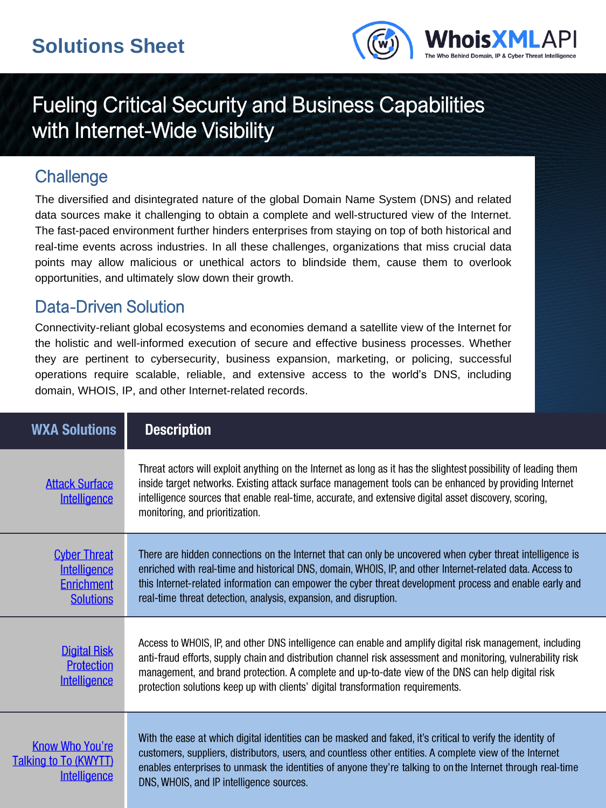

# Fueling Critical Security and Business Capabilities with Internet-Wide Visibility

#### **Challenge**

T

The diversified and disintegrated nature of the global Domain Name System (DNS) and related data sources make it challenging to obtain a complete and well-structured view of the Internet. The fast-paced environment further hinders enterprises from staying on top of both historical and real-time events across industries. In all these challenges, organizations that miss crucial data points may allow malicious or unethical actors to blindside them, cause them to overlook opportunities, and ultimately slow down their growth.

#### Data-Driven Solution

Connectivity-reliant global ecosystems and economies demand a satellite view of the Internet for the holistic and well-informed execution of secure and effective business processes. Whether they are pertinent to cybersecurity, business expansion, marketing, or policing, successful operations require scalable, reliable, and extensive access to the world's DNS, including domain, WHOIS, IP, and other Internet-related records.

| <b>WXA Solutions</b>                                                         | <b>Description</b>                                                                                                                                                                                                                                                                                                                                                                                                |  |
|------------------------------------------------------------------------------|-------------------------------------------------------------------------------------------------------------------------------------------------------------------------------------------------------------------------------------------------------------------------------------------------------------------------------------------------------------------------------------------------------------------|--|
| <b>Attack Surface</b><br>Intelligence                                        | Threat actors will exploit anything on the Internet as long as it has the slightest possibility of leading them<br>inside target networks. Existing attack surface management tools can be enhanced by providing Internet<br>intelligence sources that enable real-time, accurate, and extensive digital asset discovery, scoring,<br>monitoring, and prioritization.                                             |  |
| <b>Cyber Threat</b><br>Intelligence<br><b>Enrichment</b><br><b>Solutions</b> | There are hidden connections on the Internet that can only be uncovered when cyber threat intelligence is<br>enriched with real-time and historical DNS, domain, WHOIS, IP, and other Internet-related data. Access to<br>this Internet-related information can empower the cyber threat development process and enable early and<br>real-time threat detection, analysis, expansion, and disruption.             |  |
| <b>Digital Risk</b><br><b>Protection</b><br><b>Intelligence</b>              | Access to WHOIS, IP, and other DNS intelligence can enable and amplify digital risk management, including<br>anti-fraud efforts, supply chain and distribution channel risk assessment and monitoring, vulnerability risk<br>management, and brand protection. A complete and up-to-date view of the DNS can help digital risk<br>protection solutions keep up with clients' digital transformation requirements. |  |
| <b>Know Who You're</b><br><u>alking to To (KWYTT)</u><br>Intelligence        | With the ease at which digital identities can be masked and faked, it's critical to verify the identity of<br>customers, suppliers, distributors, users, and countless other entities. A complete view of the Internet<br>enables enterprises to unmask the identities of anyone they're talking to on the Internet through real-time<br>DNS, WHOIS, and IP intelligence sources.                                 |  |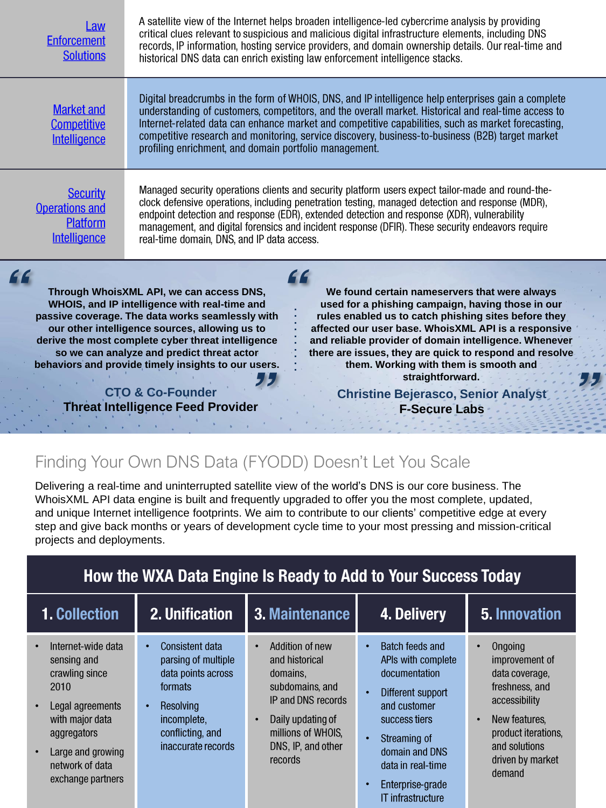| <b>Law</b><br><b>Enforcement</b><br><b>Solutions</b>                                                                                                                                                                                                                                                                                                                                                                                                                                                                                                                                                                                                                                                                                                                                                                                                                                                                          | A satellite view of the Internet helps broaden intelligence-led cybercrime analysis by providing<br>critical clues relevant to suspicious and malicious digital infrastructure elements, including DNS<br>records, IP information, hosting service providers, and domain ownership details. Our real-time and<br>historical DNS data can enrich existing law enforcement intelligence stacks.                                                                                  |                                                                                                                                                                                 |                                                                                                                                                                                                                   |                                                                                                                                                             |  |  |
|-------------------------------------------------------------------------------------------------------------------------------------------------------------------------------------------------------------------------------------------------------------------------------------------------------------------------------------------------------------------------------------------------------------------------------------------------------------------------------------------------------------------------------------------------------------------------------------------------------------------------------------------------------------------------------------------------------------------------------------------------------------------------------------------------------------------------------------------------------------------------------------------------------------------------------|--------------------------------------------------------------------------------------------------------------------------------------------------------------------------------------------------------------------------------------------------------------------------------------------------------------------------------------------------------------------------------------------------------------------------------------------------------------------------------|---------------------------------------------------------------------------------------------------------------------------------------------------------------------------------|-------------------------------------------------------------------------------------------------------------------------------------------------------------------------------------------------------------------|-------------------------------------------------------------------------------------------------------------------------------------------------------------|--|--|
| <b>Market and</b><br><b>Competitive</b><br>Intelligence                                                                                                                                                                                                                                                                                                                                                                                                                                                                                                                                                                                                                                                                                                                                                                                                                                                                       | Digital breadcrumbs in the form of WHOIS, DNS, and IP intelligence help enterprises gain a complete<br>understanding of customers, competitors, and the overall market. Historical and real-time access to<br>Internet-related data can enhance market and competitive capabilities, such as market forecasting,<br>competitive research and monitoring, service discovery, business-to-business (B2B) target market<br>profiling enrichment, and domain portfolio management. |                                                                                                                                                                                 |                                                                                                                                                                                                                   |                                                                                                                                                             |  |  |
| <b>Security</b><br><b>Operations and</b><br>Platform<br>Intelligence                                                                                                                                                                                                                                                                                                                                                                                                                                                                                                                                                                                                                                                                                                                                                                                                                                                          | Managed security operations clients and security platform users expect tailor-made and round-the-<br>clock defensive operations, including penetration testing, managed detection and response (MDR),<br>endpoint detection and response (EDR), extended detection and response (XDR), vulnerability<br>management, and digital forensics and incident response (DFIR). These security endeavors require<br>real-time domain, DNS, and IP data access.                         |                                                                                                                                                                                 |                                                                                                                                                                                                                   |                                                                                                                                                             |  |  |
| "<br>"<br>Through WhoisXML API, we can access DNS,<br>We found certain nameservers that were always<br>WHOIS, and IP intelligence with real-time and<br>used for a phishing campaign, having those in our<br>passive coverage. The data works seamlessly with<br>rules enabled us to catch phishing sites before they<br>affected our user base. WhoisXML API is a responsive<br>our other intelligence sources, allowing us to<br>derive the most complete cyber threat intelligence<br>and reliable provider of domain intelligence. Whenever<br>so we can analyze and predict threat actor<br>there are issues, they are quick to respond and resolve<br>behaviors and provide timely insights to our users.<br>them. Working with them is smooth and<br>straightforward.<br><b>CTO &amp; Co-Founder</b><br><b>Christine Bejerasco, Senior Analyst</b><br><b>Threat Intelligence Feed Provider</b><br><b>F-Secure Labs</b> |                                                                                                                                                                                                                                                                                                                                                                                                                                                                                |                                                                                                                                                                                 |                                                                                                                                                                                                                   |                                                                                                                                                             |  |  |
| Finding Your Own DNS Data (FYODD) Doesn't Let You Scale                                                                                                                                                                                                                                                                                                                                                                                                                                                                                                                                                                                                                                                                                                                                                                                                                                                                       |                                                                                                                                                                                                                                                                                                                                                                                                                                                                                |                                                                                                                                                                                 |                                                                                                                                                                                                                   |                                                                                                                                                             |  |  |
| Delivering a real-time and uninterrupted satellite view of the world's DNS is our core business. The<br>WhoisXML API data engine is built and frequently upgraded to offer you the most complete, updated,<br>and unique Internet intelligence footprints. We aim to contribute to our clients' competitive edge at every<br>step and give back months or years of development cycle time to your most pressing and mission-critical<br>projects and deployments.<br>How the WXA Data Engine Is Ready to Add to Your Success Today                                                                                                                                                                                                                                                                                                                                                                                            |                                                                                                                                                                                                                                                                                                                                                                                                                                                                                |                                                                                                                                                                                 |                                                                                                                                                                                                                   |                                                                                                                                                             |  |  |
| 1. Collection                                                                                                                                                                                                                                                                                                                                                                                                                                                                                                                                                                                                                                                                                                                                                                                                                                                                                                                 | 2. Unification                                                                                                                                                                                                                                                                                                                                                                                                                                                                 | 3. Maintenance                                                                                                                                                                  | 4. Delivery                                                                                                                                                                                                       | 5. Innovation                                                                                                                                               |  |  |
| Internet-wide data<br>sensing and<br>crawling since<br>2010<br>Legal agreements<br>$\bullet$<br>with major data<br>aggregators<br>Large and growing<br>$\bullet$<br>network of data                                                                                                                                                                                                                                                                                                                                                                                                                                                                                                                                                                                                                                                                                                                                           | <b>Consistent data</b><br>$\bullet$<br>parsing of multiple<br>data points across<br>formats<br>Resolving<br>$\bullet$<br>incomplete,<br>conflicting, and<br>inaccurate records                                                                                                                                                                                                                                                                                                 | Addition of new<br>$\bullet$<br>and historical<br>domains,<br>subdomains, and<br>IP and DNS records<br>Daily updating of<br>millions of WHOIS,<br>DNS, IP, and other<br>records | <b>Batch feeds and</b><br>$\bullet$<br>APIs with complete<br>documentation<br>Different support<br>$\bullet$<br>and customer<br>success tiers<br>Streaming of<br>$\bullet$<br>domain and DNS<br>data in real-time | Ongoing<br>improvement of<br>data coverage,<br>freshness, and<br>accessibility<br>New features,<br>product iterations,<br>and solutions<br>driven by market |  |  |

•

Enterprise-grade IT infrastructure

exchange partners

demand